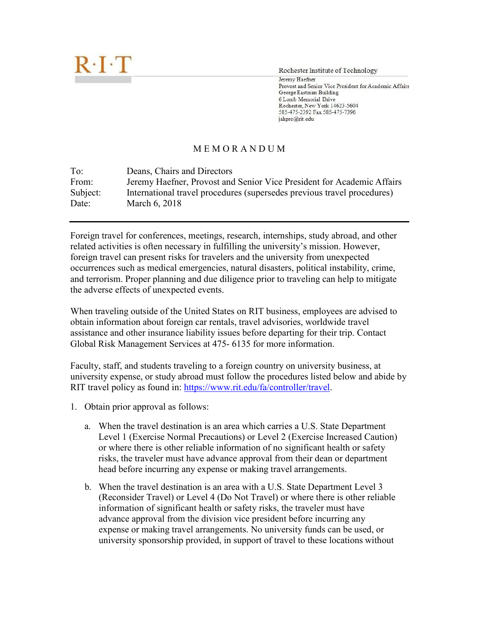

Rochester Institute of Technology

Jeremy Haefner Provost and Senior Vice President for Academic Affairs George Eastman Building 6 Lomb Memorial Drive Rochester, New York 14623-5604 585-475-2392 Fax 585-475-7396 jahpro@rit.edu

## M E M O R A N D U M

| To:      | Deans, Chairs and Directors                                             |
|----------|-------------------------------------------------------------------------|
| From:    | Jeremy Haefner, Provost and Senior Vice President for Academic Affairs  |
| Subject: | International travel procedures (supersedes previous travel procedures) |
| Date:    | March 6, 2018                                                           |

Foreign travel for conferences, meetings, research, internships, study abroad, and other related activities is often necessary in fulfilling the university's mission. However, foreign travel can present risks for travelers and the university from unexpected occurrences such as medical emergencies, natural disasters, political instability, crime, and terrorism. Proper planning and due diligence prior to traveling can help to mitigate the adverse effects of unexpected events.

When traveling outside of the United States on RIT business, employees are advised to obtain information about foreign car rentals, travel advisories, worldwide travel assistance and other insurance liability issues before departing for their trip. Contact Global Risk Management Services at 475- 6135 for more information.

Faculty, staff, and students traveling to a foreign country on university business, at university expense, or study abroad must follow the procedures listed below and abide by RIT travel policy as found [in:](http://finweb.rit.edu/controller/travel/manual.html) [https://www.rit.edu/fa/controller/travel.](https://www.rit.edu/fa/controller/travel)

- 1. Obtain prior approval as follows:
	- a. When the travel destination is an area which carries a U.S. State Department Level 1 (Exercise Normal Precautions) or Level 2 (Exercise Increased Caution) or where there is other reliable information of no significant health or safety risks, the traveler must have advance approval from their dean or department head before incurring any expense or making travel arrangements.
	- b. When the travel destination is an area with a U.S. State Department Level 3 (Reconsider Travel) or Level 4 (Do Not Travel) or where there is other reliable information of significant health or safety risks, the traveler must have advance approval from the division vice president before incurring any expense or making travel arrangements. No university funds can be used, or university sponsorship provided, in support of travel to these locations without